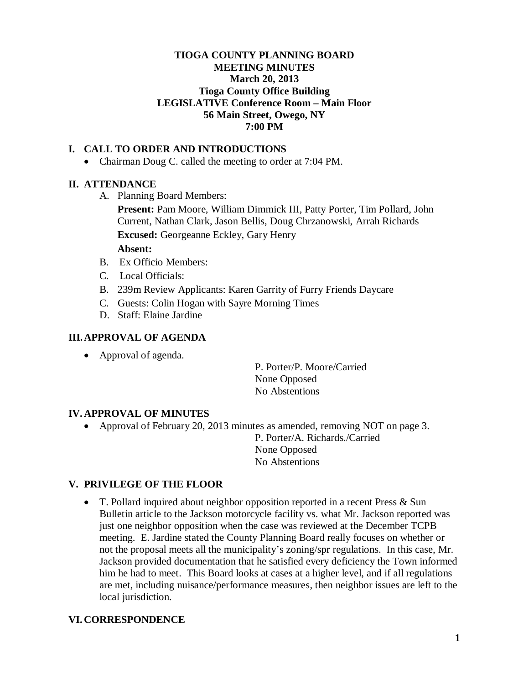# **TIOGA COUNTY PLANNING BOARD MEETING MINUTES March 20, 2013 Tioga County Office Building LEGISLATIVE Conference Room – Main Floor 56 Main Street, Owego, NY 7:00 PM**

# **I. CALL TO ORDER AND INTRODUCTIONS**

• Chairman Doug C. called the meeting to order at 7:04 PM.

### **II. ATTENDANCE**

A. Planning Board Members:

**Present:** Pam Moore, William Dimmick III, Patty Porter, Tim Pollard, John Current, Nathan Clark, Jason Bellis, Doug Chrzanowski, Arrah Richards **Excused:** Georgeanne Eckley, Gary Henry

#### **Absent:**

- B.Ex Officio Members:
- C. Local Officials:
- B. 239m Review Applicants: Karen Garrity of Furry Friends Daycare
- C. Guests: Colin Hogan with Sayre Morning Times
- D. Staff: Elaine Jardine

### **III.APPROVAL OF AGENDA**

• Approval of agenda.

P. Porter/P. Moore/Carried None Opposed No Abstentions

#### **IV. APPROVAL OF MINUTES**

• Approval of February 20, 2013 minutes as amended, removing NOT on page 3. P. Porter/A. Richards./Carried None Opposed

No Abstentions

## **V. PRIVILEGE OF THE FLOOR**

• T. Pollard inquired about neighbor opposition reported in a recent Press & Sun Bulletin article to the Jackson motorcycle facility vs. what Mr. Jackson reported was just one neighbor opposition when the case was reviewed at the December TCPB meeting. E. Jardine stated the County Planning Board really focuses on whether or not the proposal meets all the municipality's zoning/spr regulations. In this case, Mr. Jackson provided documentation that he satisfied every deficiency the Town informed him he had to meet. This Board looks at cases at a higher level, and if all regulations are met, including nuisance/performance measures, then neighbor issues are left to the local jurisdiction.

### **VI. CORRESPONDENCE**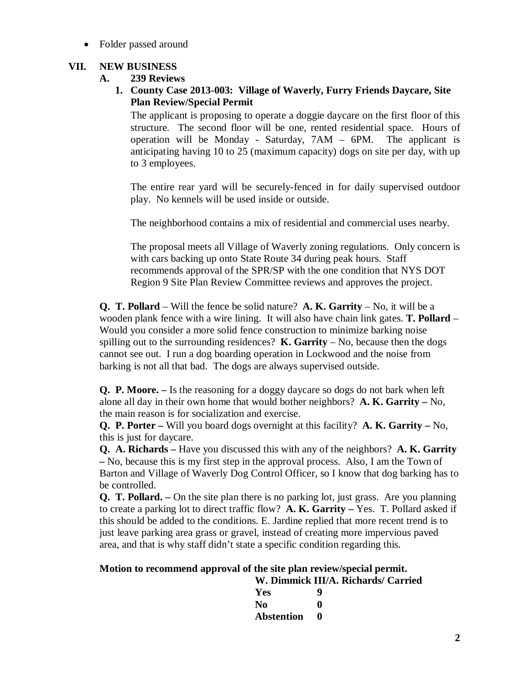• Folder passed around

# **VII. NEW BUSINESS**

# **A. 239 Reviews**

**1. County Case 2013-003: Village of Waverly, Furry Friends Daycare, Site Plan Review/Special Permit**

The applicant is proposing to operate a doggie daycare on the first floor of this structure. The second floor will be one, rented residential space. Hours of operation will be Monday - Saturday, 7AM – 6PM. The applicant is anticipating having 10 to 25 (maximum capacity) dogs on site per day, with up to 3 employees.

The entire rear yard will be securely-fenced in for daily supervised outdoor play. No kennels will be used inside or outside.

The neighborhood contains a mix of residential and commercial uses nearby.

The proposal meets all Village of Waverly zoning regulations. Only concern is with cars backing up onto State Route 34 during peak hours. Staff recommends approval of the SPR/SP with the one condition that NYS DOT Region 9 Site Plan Review Committee reviews and approves the project.

**Q. T. Pollard** – Will the fence be solid nature? **A. K. Garrity** – No, it will be a wooden plank fence with a wire lining. It will also have chain link gates. **T. Pollard** – Would you consider a more solid fence construction to minimize barking noise spilling out to the surrounding residences? **K. Garrity** – No, because then the dogs cannot see out. I run a dog boarding operation in Lockwood and the noise from barking is not all that bad. The dogs are always supervised outside.

**Q. P. Moore. –** Is the reasoning for a doggy daycare so dogs do not bark when left alone all day in their own home that would bother neighbors? **A. K. Garrity –** No, the main reason is for socialization and exercise.

**Q. P. Porter –** Will you board dogs overnight at this facility? **A. K. Garrity –** No, this is just for daycare.

**Q. A. Richards –** Have you discussed this with any of the neighbors? **A. K. Garrity –** No, because this is my first step in the approval process. Also, I am the Town of Barton and Village of Waverly Dog Control Officer, so I know that dog barking has to be controlled.

**Q. T. Pollard. –** On the site plan there is no parking lot, just grass. Are you planning to create a parking lot to direct traffic flow? **A. K. Garrity –** Yes. T. Pollard asked if this should be added to the conditions. E. Jardine replied that more recent trend is to just leave parking area grass or gravel, instead of creating more impervious paved area, and that is why staff didn't state a specific condition regarding this.

# **Motion to recommend approval of the site plan review/special permit.**

| W. Dimmick III/A. Richards/ Carried |           |  |
|-------------------------------------|-----------|--|
| Yes                                 | Q         |  |
| No.                                 | o         |  |
| <b>Abstention</b>                   | $\bullet$ |  |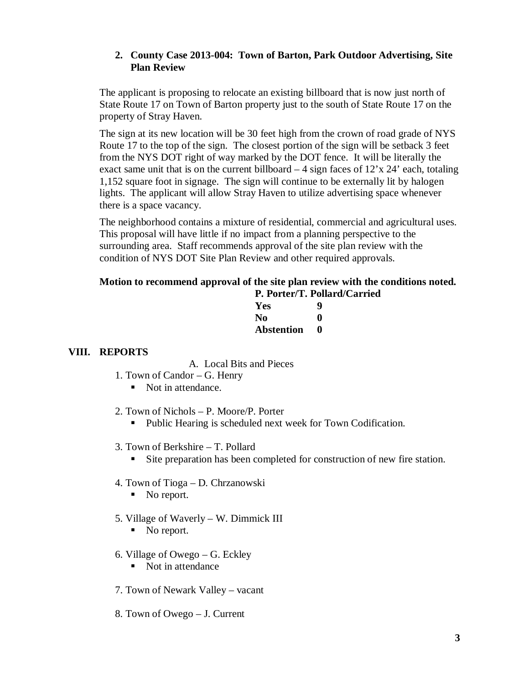## **2. County Case 2013-004: Town of Barton, Park Outdoor Advertising, Site Plan Review**

The applicant is proposing to relocate an existing billboard that is now just north of State Route 17 on Town of Barton property just to the south of State Route 17 on the property of Stray Haven.

The sign at its new location will be 30 feet high from the crown of road grade of NYS Route 17 to the top of the sign. The closest portion of the sign will be setback 3 feet from the NYS DOT right of way marked by the DOT fence. It will be literally the exact same unit that is on the current billboard  $-4$  sign faces of  $12'x 24'$  each, totaling 1,152 square foot in signage. The sign will continue to be externally lit by halogen lights. The applicant will allow Stray Haven to utilize advertising space whenever there is a space vacancy.

The neighborhood contains a mixture of residential, commercial and agricultural uses. This proposal will have little if no impact from a planning perspective to the surrounding area. Staff recommends approval of the site plan review with the condition of NYS DOT Site Plan Review and other required approvals.

#### **Motion to recommend approval of the site plan review with the conditions noted. P. Porter/T. Pollard/Carried**

| P. Porter/T. Pollard |   |  |
|----------------------|---|--|
| Yes                  | g |  |
| No.                  | o |  |
| <b>Abstention</b>    | o |  |

# **VIII. REPORTS**

A. Local Bits and Pieces

- 1. Town of Candor G. Henry
	- Not in attendance.
- 2. Town of Nichols P. Moore/P. Porter
	- Public Hearing is scheduled next week for Town Codification.
- 3. Town of Berkshire T. Pollard
	- Site preparation has been completed for construction of new fire station.
- 4. Town of Tioga D. Chrzanowski
	- No report.
- 5. Village of Waverly W. Dimmick III
	- No report.
- 6. Village of Owego G. Eckley
	- Not in attendance
- 7. Town of Newark Valley vacant
- 8. Town of Owego J. Current